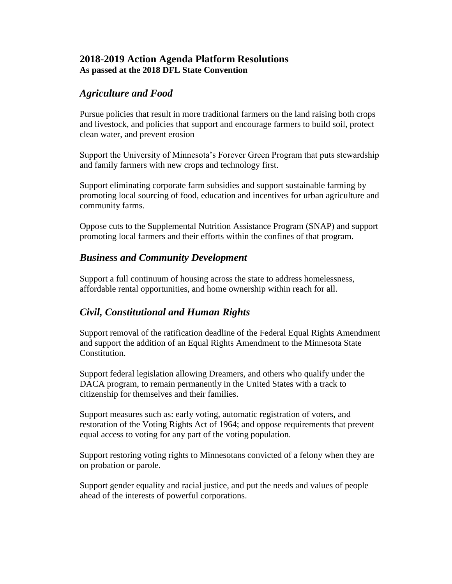### **2018-2019 Action Agenda Platform Resolutions As passed at the 2018 DFL State Convention**

### *Agriculture and Food*

Pursue policies that result in more traditional farmers on the land raising both crops and livestock, and policies that support and encourage farmers to build soil, protect clean water, and prevent erosion

Support the University of Minnesota's Forever Green Program that puts stewardship and family farmers with new crops and technology first.

Support eliminating corporate farm subsidies and support sustainable farming by promoting local sourcing of food, education and incentives for urban agriculture and community farms.

Oppose cuts to the Supplemental Nutrition Assistance Program (SNAP) and support promoting local farmers and their efforts within the confines of that program.

## *Business and Community Development*

Support a full continuum of housing across the state to address homelessness, affordable rental opportunities, and home ownership within reach for all.

# *Civil, Constitutional and Human Rights*

Support removal of the ratification deadline of the Federal Equal Rights Amendment and support the addition of an Equal Rights Amendment to the Minnesota State Constitution.

Support federal legislation allowing Dreamers, and others who qualify under the DACA program, to remain permanently in the United States with a track to citizenship for themselves and their families.

Support measures such as: early voting, automatic registration of voters, and restoration of the Voting Rights Act of 1964; and oppose requirements that prevent equal access to voting for any part of the voting population.

Support restoring voting rights to Minnesotans convicted of a felony when they are on probation or parole.

Support gender equality and racial justice, and put the needs and values of people ahead of the interests of powerful corporations.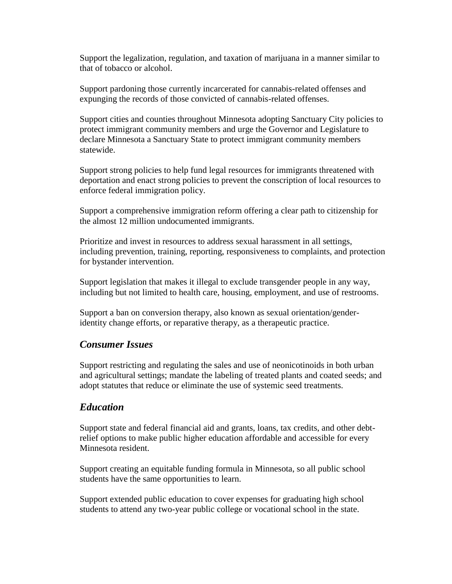Support the legalization, regulation, and taxation of marijuana in a manner similar to that of tobacco or alcohol.

Support pardoning those currently incarcerated for cannabis-related offenses and expunging the records of those convicted of cannabis-related offenses.

Support cities and counties throughout Minnesota adopting Sanctuary City policies to protect immigrant community members and urge the Governor and Legislature to declare Minnesota a Sanctuary State to protect immigrant community members statewide.

Support strong policies to help fund legal resources for immigrants threatened with deportation and enact strong policies to prevent the conscription of local resources to enforce federal immigration policy.

Support a comprehensive immigration reform offering a clear path to citizenship for the almost 12 million undocumented immigrants.

Prioritize and invest in resources to address sexual harassment in all settings, including prevention, training, reporting, responsiveness to complaints, and protection for bystander intervention.

Support legislation that makes it illegal to exclude transgender people in any way, including but not limited to health care, housing, employment, and use of restrooms.

Support a ban on conversion therapy, also known as sexual orientation/genderidentity change efforts, or reparative therapy, as a therapeutic practice.

### *Consumer Issues*

Support restricting and regulating the sales and use of neonicotinoids in both urban and agricultural settings; mandate the labeling of treated plants and coated seeds; and adopt statutes that reduce or eliminate the use of systemic seed treatments.

### *Education*

Support state and federal financial aid and grants, loans, tax credits, and other debtrelief options to make public higher education affordable and accessible for every Minnesota resident.

Support creating an equitable funding formula in Minnesota, so all public school students have the same opportunities to learn.

Support extended public education to cover expenses for graduating high school students to attend any two-year public college or vocational school in the state.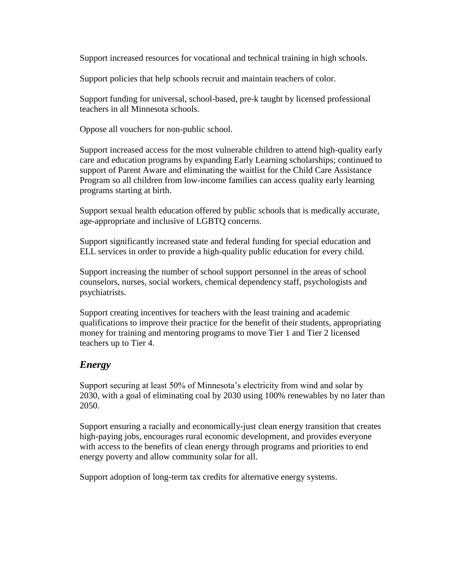Support increased resources for vocational and technical training in high schools.

Support policies that help schools recruit and maintain teachers of color.

Support funding for universal, school-based, pre-k taught by licensed professional teachers in all Minnesota schools.

Oppose all vouchers for non-public school.

Support increased access for the most vulnerable children to attend high-quality early care and education programs by expanding Early Learning scholarships; continued to support of Parent Aware and eliminating the waitlist for the Child Care Assistance Program so all children from low-income families can access quality early learning programs starting at birth.

Support sexual health education offered by public schools that is medically accurate, age-appropriate and inclusive of LGBTQ concerns.

Support significantly increased state and federal funding for special education and ELL services in order to provide a high-quality public education for every child.

Support increasing the number of school support personnel in the areas of school counselors, nurses, social workers, chemical dependency staff, psychologists and psychiatrists.

Support creating incentives for teachers with the least training and academic qualifications to improve their practice for the benefit of their students, appropriating money for training and mentoring programs to move Tier 1 and Tier 2 licensed teachers up to Tier 4.

## *Energy*

Support securing at least 50% of Minnesota's electricity from wind and solar by 2030, with a goal of eliminating coal by 2030 using 100% renewables by no later than 2050.

Support ensuring a racially and economically-just clean energy transition that creates high-paying jobs, encourages rural economic development, and provides everyone with access to the benefits of clean energy through programs and priorities to end energy poverty and allow community solar for all.

Support adoption of long-term tax credits for alternative energy systems.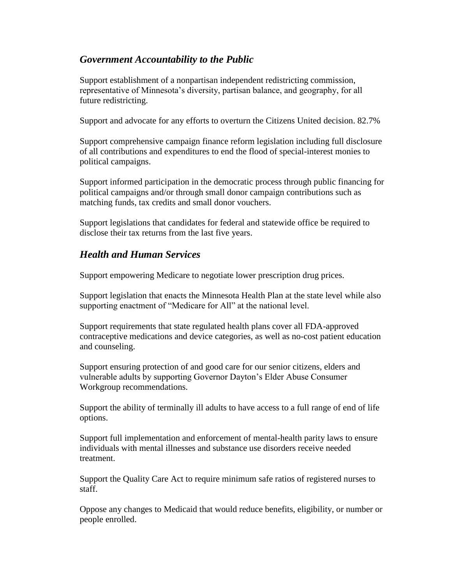### *Government Accountability to the Public*

Support establishment of a nonpartisan independent redistricting commission, representative of Minnesota's diversity, partisan balance, and geography, for all future redistricting.

Support and advocate for any efforts to overturn the Citizens United decision. 82.7%

Support comprehensive campaign finance reform legislation including full disclosure of all contributions and expenditures to end the flood of special-interest monies to political campaigns.

Support informed participation in the democratic process through public financing for political campaigns and/or through small donor campaign contributions such as matching funds, tax credits and small donor vouchers.

Support legislations that candidates for federal and statewide office be required to disclose their tax returns from the last five years.

## *Health and Human Services*

Support empowering Medicare to negotiate lower prescription drug prices.

Support legislation that enacts the Minnesota Health Plan at the state level while also supporting enactment of "Medicare for All" at the national level.

Support requirements that state regulated health plans cover all FDA-approved contraceptive medications and device categories, as well as no-cost patient education and counseling.

Support ensuring protection of and good care for our senior citizens, elders and vulnerable adults by supporting Governor Dayton's Elder Abuse Consumer Workgroup recommendations.

Support the ability of terminally ill adults to have access to a full range of end of life options.

Support full implementation and enforcement of mental-health parity laws to ensure individuals with mental illnesses and substance use disorders receive needed treatment.

Support the Quality Care Act to require minimum safe ratios of registered nurses to staff.

Oppose any changes to Medicaid that would reduce benefits, eligibility, or number or people enrolled.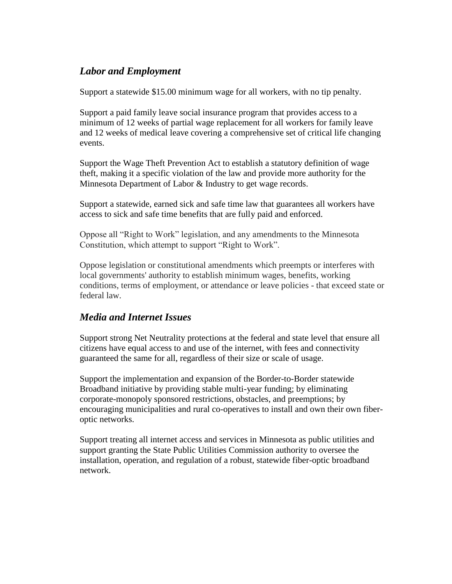### *Labor and Employment*

Support a statewide \$15.00 minimum wage for all workers, with no tip penalty.

Support a paid family leave social insurance program that provides access to a minimum of 12 weeks of partial wage replacement for all workers for family leave and 12 weeks of medical leave covering a comprehensive set of critical life changing events.

Support the Wage Theft Prevention Act to establish a statutory definition of wage theft, making it a specific violation of the law and provide more authority for the Minnesota Department of Labor & Industry to get wage records.

Support a statewide, earned sick and safe time law that guarantees all workers have access to sick and safe time benefits that are fully paid and enforced.

Oppose all "Right to Work" legislation, and any amendments to the Minnesota Constitution, which attempt to support "Right to Work".

Oppose legislation or constitutional amendments which preempts or interferes with local governments' authority to establish minimum wages, benefits, working conditions, terms of employment, or attendance or leave policies - that exceed state or federal law.

## *Media and Internet Issues*

Support strong Net Neutrality protections at the federal and state level that ensure all citizens have equal access to and use of the internet, with fees and connectivity guaranteed the same for all, regardless of their size or scale of usage.

Support the implementation and expansion of the Border-to-Border statewide Broadband initiative by providing stable multi-year funding; by eliminating corporate-monopoly sponsored restrictions, obstacles, and preemptions; by encouraging municipalities and rural co-operatives to install and own their own fiberoptic networks.

Support treating all internet access and services in Minnesota as public utilities and support granting the State Public Utilities Commission authority to oversee the installation, operation, and regulation of a robust, statewide fiber-optic broadband network.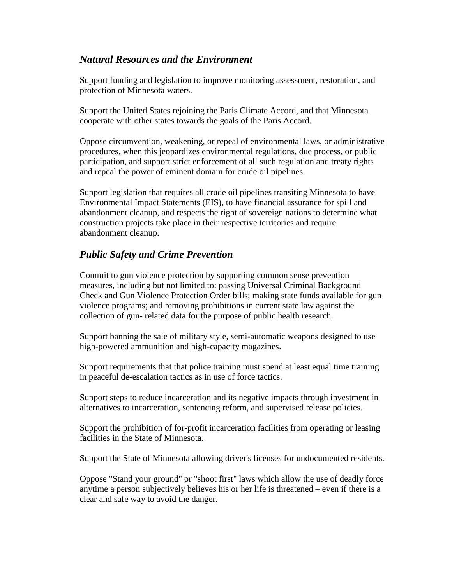### *Natural Resources and the Environment*

Support funding and legislation to improve monitoring assessment, restoration, and protection of Minnesota waters.

Support the United States rejoining the Paris Climate Accord, and that Minnesota cooperate with other states towards the goals of the Paris Accord.

Oppose circumvention, weakening, or repeal of environmental laws, or administrative procedures, when this jeopardizes environmental regulations, due process, or public participation, and support strict enforcement of all such regulation and treaty rights and repeal the power of eminent domain for crude oil pipelines.

Support legislation that requires all crude oil pipelines transiting Minnesota to have Environmental Impact Statements (EIS), to have financial assurance for spill and abandonment cleanup, and respects the right of sovereign nations to determine what construction projects take place in their respective territories and require abandonment cleanup.

## *Public Safety and Crime Prevention*

Commit to gun violence protection by supporting common sense prevention measures, including but not limited to: passing Universal Criminal Background Check and Gun Violence Protection Order bills; making state funds available for gun violence programs; and removing prohibitions in current state law against the collection of gun- related data for the purpose of public health research.

Support banning the sale of military style, semi-automatic weapons designed to use high-powered ammunition and high-capacity magazines.

Support requirements that that police training must spend at least equal time training in peaceful de-escalation tactics as in use of force tactics.

Support steps to reduce incarceration and its negative impacts through investment in alternatives to incarceration, sentencing reform, and supervised release policies.

Support the prohibition of for-profit incarceration facilities from operating or leasing facilities in the State of Minnesota.

Support the State of Minnesota allowing driver's licenses for undocumented residents.

Oppose "Stand your ground" or "shoot first" laws which allow the use of deadly force anytime a person subjectively believes his or her life is threatened – even if there is a clear and safe way to avoid the danger.